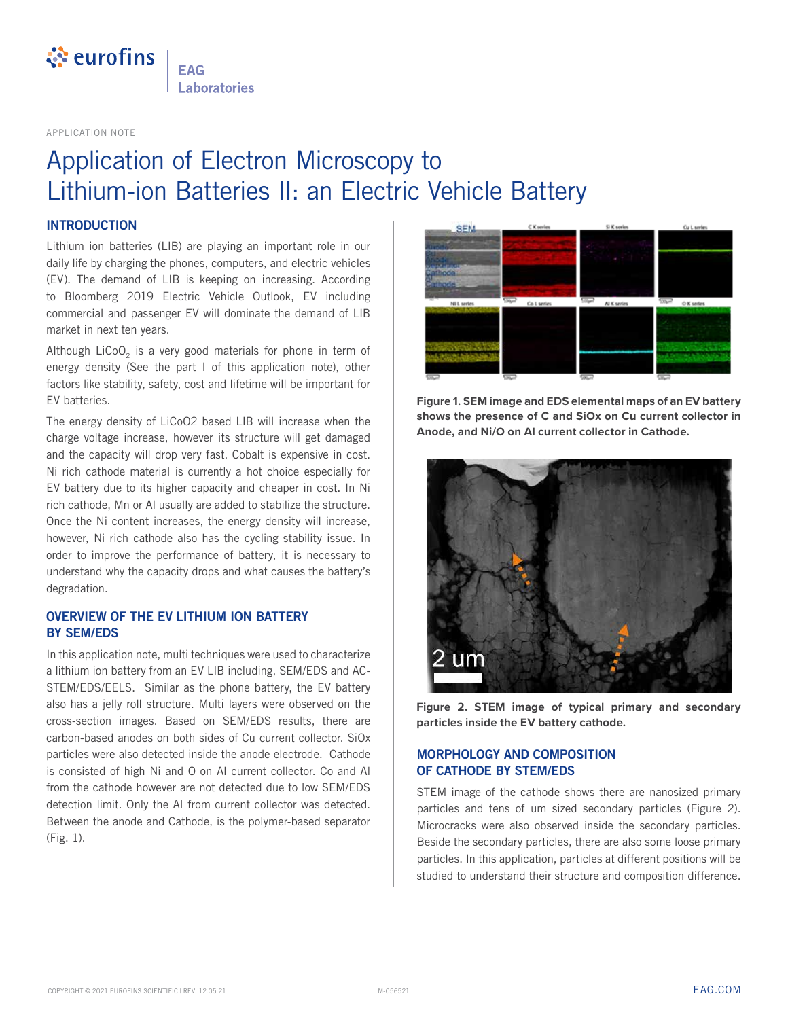

**FAG** Laboratories

APPLICATION NOTE

## Application of Electron Microscopy to Lithium-ion Batteries II: an Electric Vehicle Battery

#### **INTRODUCTION**

Lithium ion batteries (LIB) are playing an important role in our daily life by charging the phones, computers, and electric vehicles (EV). The demand of LIB is keeping on increasing. According to Bloomberg 2019 Electric Vehicle Outlook, EV including commercial and passenger EV will dominate the demand of LIB market in next ten years.

Although LiCoO<sub>2</sub> is a very good materials for phone in term of energy density (See the part I of this application note), other factors like stability, safety, cost and lifetime will be important for EV batteries.

The energy density of LiCoO2 based LIB will increase when the charge voltage increase, however its structure will get damaged and the capacity will drop very fast. Cobalt is expensive in cost. Ni rich cathode material is currently a hot choice especially for EV battery due to its higher capacity and cheaper in cost. In Ni rich cathode, Mn or Al usually are added to stabilize the structure. Once the Ni content increases, the energy density will increase, however, Ni rich cathode also has the cycling stability issue. In order to improve the performance of battery, it is necessary to understand why the capacity drops and what causes the battery's degradation.

### **OVERVIEW OF THE EV LITHIUM ION BATTERY BY SEM/EDS**

In this application note, multi techniques were used to characterize a lithium ion battery from an EV LIB including, SEM/EDS and AC-STEM/EDS/EELS. Similar as the phone battery, the EV battery also has a jelly roll structure. Multi layers were observed on the cross-section images. Based on SEM/EDS results, there are carbon-based anodes on both sides of Cu current collector. SiOx particles were also detected inside the anode electrode. Cathode is consisted of high Ni and O on Al current collector. Co and Al from the cathode however are not detected due to low SEM/EDS detection limit. Only the Al from current collector was detected. Between the anode and Cathode, is the polymer-based separator (Fig. 1).



**Figure 1. SEM image and EDS elemental maps of an EV battery shows the presence of C and SiOx on Cu current collector in Anode, and Ni/O on Al current collector in Cathode.**



**Figure 2. STEM image of typical primary and secondary particles inside the EV battery cathode.**

### **MORPHOLOGY AND COMPOSITION OF CATHODE BY STEM/EDS**

STEM image of the cathode shows there are nanosized primary particles and tens of um sized secondary particles (Figure 2). Microcracks were also observed inside the secondary particles. Beside the secondary particles, there are also some loose primary particles. In this application, particles at different positions will be studied to understand their structure and composition difference.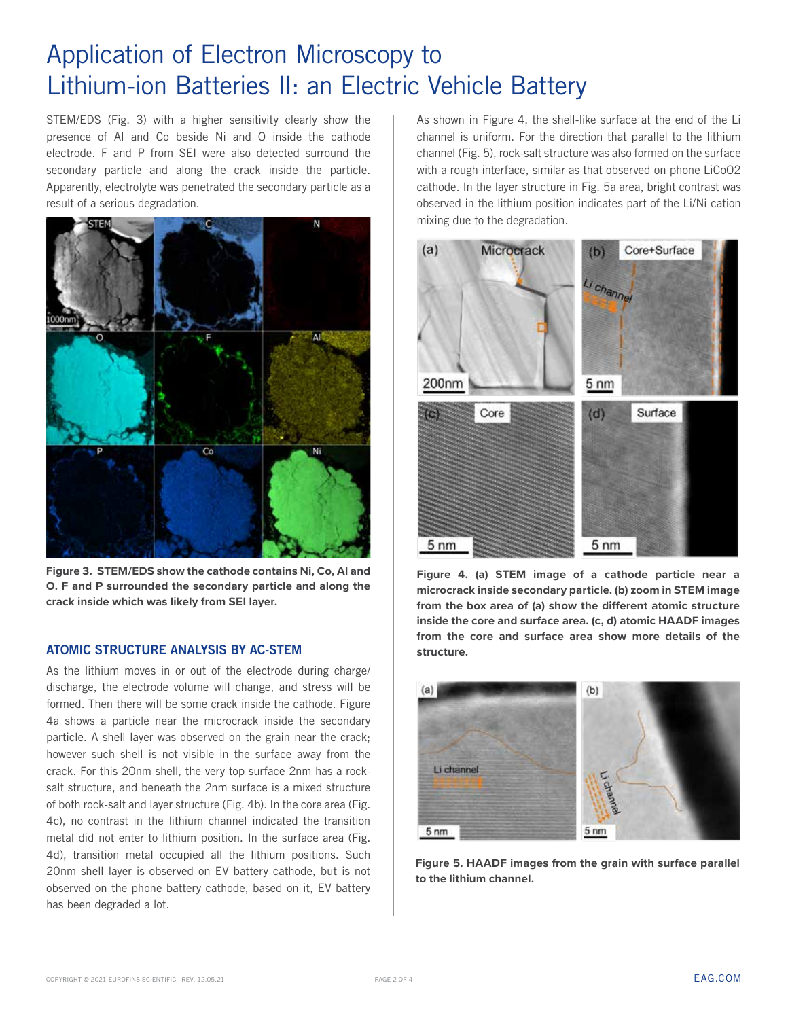# Application of Electron Microscopy to Lithium-ion Batteries II: an Electric Vehicle Battery

STEM/EDS (Fig. 3) with a higher sensitivity clearly show the presence of Al and Co beside Ni and O inside the cathode electrode. F and P from SEI were also detected surround the secondary particle and along the crack inside the particle. Apparently, electrolyte was penetrated the secondary particle as a result of a serious degradation.



**Figure 3. STEM/EDS show the cathode contains Ni, Co, Al and O. F and P surrounded the secondary particle and along the crack inside which was likely from SEI layer.**

#### **ATOMIC STRUCTURE ANALYSIS BY AC-STEM**

As the lithium moves in or out of the electrode during charge/ discharge, the electrode volume will change, and stress will be formed. Then there will be some crack inside the cathode. Figure 4a shows a particle near the microcrack inside the secondary particle. A shell layer was observed on the grain near the crack; however such shell is not visible in the surface away from the crack. For this 20nm shell, the very top surface 2nm has a rocksalt structure, and beneath the 2nm surface is a mixed structure of both rock-salt and layer structure (Fig. 4b). In the core area (Fig. 4c), no contrast in the lithium channel indicated the transition metal did not enter to lithium position. In the surface area (Fig. 4d), transition metal occupied all the lithium positions. Such 20nm shell layer is observed on EV battery cathode, but is not observed on the phone battery cathode, based on it, EV battery has been degraded a lot.

As shown in Figure 4, the shell-like surface at the end of the Li channel is uniform. For the direction that parallel to the lithium channel (Fig. 5), rock-salt structure was also formed on the surface with a rough interface, similar as that observed on phone LiCoO2 cathode. In the layer structure in Fig. 5a area, bright contrast was observed in the lithium position indicates part of the Li/Ni cation mixing due to the degradation.



**Figure 4. (a) STEM image of a cathode particle near a microcrack inside secondary particle. (b) zoom in STEM image from the box area of (a) show the different atomic structure inside the core and surface area. (c, d) atomic HAADF images from the core and surface area show more details of the structure.**



**Figure 5. HAADF images from the grain with surface parallel to the lithium channel.**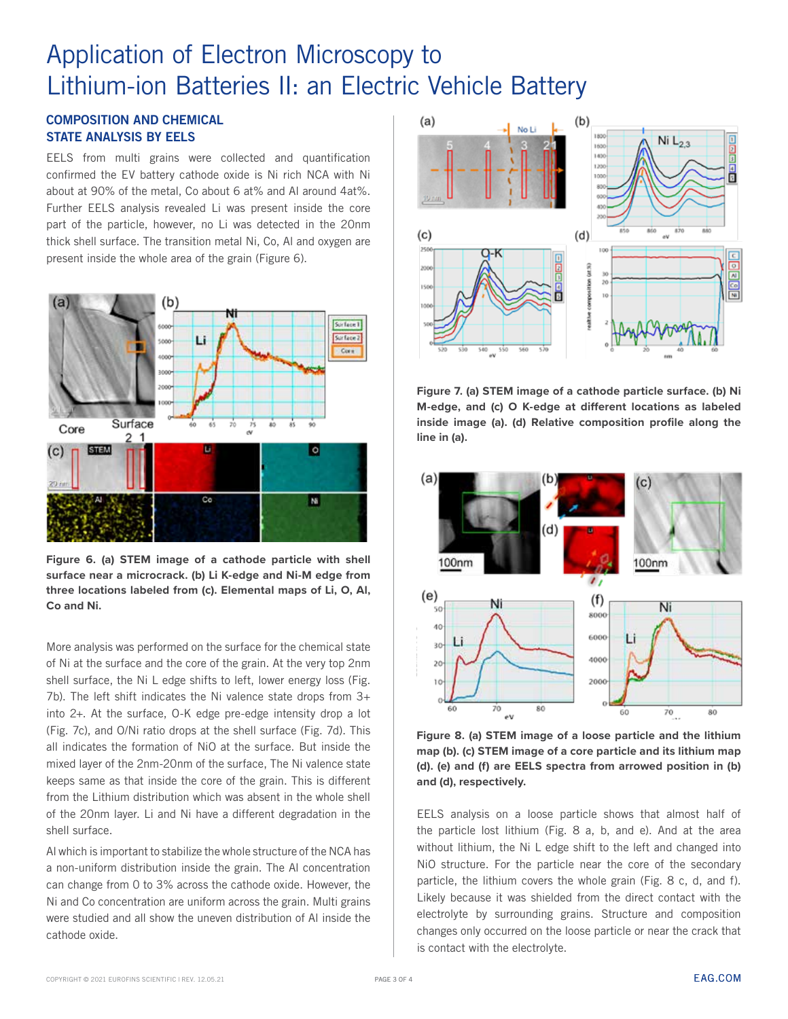# Application of Electron Microscopy to Lithium-ion Batteries II: an Electric Vehicle Battery

### **COMPOSITION AND CHEMICAL STATE ANALYSIS BY EELS**

EELS from multi grains were collected and quantification confirmed the EV battery cathode oxide is Ni rich NCA with Ni about at 90% of the metal, Co about 6 at% and Al around 4at%. Further EELS analysis revealed Li was present inside the core part of the particle, however, no Li was detected in the 20nm thick shell surface. The transition metal Ni, Co, Al and oxygen are present inside the whole area of the grain (Figure 6).



**Figure 6. (a) STEM image of a cathode particle with shell surface near a microcrack. (b) Li K-edge and Ni-M edge from three locations labeled from (c). Elemental maps of Li, O, Al, Co and Ni.** 

More analysis was performed on the surface for the chemical state of Ni at the surface and the core of the grain. At the very top 2nm shell surface, the Ni L edge shifts to left, lower energy loss (Fig. 7b). The left shift indicates the Ni valence state drops from 3+ into 2+. At the surface, O-K edge pre-edge intensity drop a lot (Fig. 7c), and O/Ni ratio drops at the shell surface (Fig. 7d). This all indicates the formation of NiO at the surface. But inside the mixed layer of the 2nm-20nm of the surface, The Ni valence state keeps same as that inside the core of the grain. This is different from the Lithium distribution which was absent in the whole shell of the 20nm layer. Li and Ni have a different degradation in the shell surface.

Al which is important to stabilize the whole structure of the NCA has a non-uniform distribution inside the grain. The Al concentration can change from 0 to 3% across the cathode oxide. However, the Ni and Co concentration are uniform across the grain. Multi grains were studied and all show the uneven distribution of Al inside the cathode oxide.



**Figure 7. (a) STEM image of a cathode particle surface. (b) Ni M-edge, and (c) O K-edge at different locations as labeled inside image (a). (d) Relative composition profile along the line in (a).** 



**Figure 8. (a) STEM image of a loose particle and the lithium map (b). (c) STEM image of a core particle and its lithium map (d). (e) and (f) are EELS spectra from arrowed position in (b) and (d), respectively.**

EELS analysis on a loose particle shows that almost half of the particle lost lithium (Fig. 8 a, b, and e). And at the area without lithium, the Ni L edge shift to the left and changed into NiO structure. For the particle near the core of the secondary particle, the lithium covers the whole grain (Fig. 8 c, d, and f). Likely because it was shielded from the direct contact with the electrolyte by surrounding grains. Structure and composition changes only occurred on the loose particle or near the crack that is contact with the electrolyte.